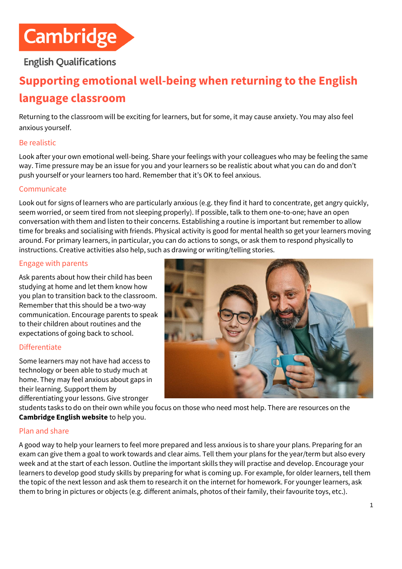

# **English Qualifications**

# **Supporting emotional well-being when returning to the English language classroom**

Returning to the classroom will be exciting for learners, but for some, it may cause anxiety. You may also feel anxious yourself.

### Be realistic

Look after your own emotional well-being. Share your feelings with your colleagues who may be feeling the same way. Time pressure may be an issue for you and your learners so be realistic about what you can do and don't push yourself or your learners too hard. Remember that it's OK to feel anxious.

#### **Communicate**

Look out for signs of learners who are particularly anxious (e.g. they find it hard to concentrate, get angry quickly, seem worried, or seem tired from not sleeping properly). If possible, talk to them one-to-one; have an open conversation with them and listen to their concerns. Establishing a routine is important but remember to allow time for breaks and socialising with friends. Physical activity is good for mental health so get your learners moving around. For primary learners, in particular, you can do actions to songs, or ask them to respond physically to instructions. Creative activities also help, such as drawing or writing/telling stories.

#### Engage with parents

Ask parents about how their child has been studying at home and let them know how you plan to transition back to the classroom. Remember that this should be a two-way communication. Encourage parents to speak to their children about routines and the expectations of going back to school.

#### **Differentiate**

Some learners may not have had access to technology or been able to study much at home. They may feel anxious about gaps in their learning. Support them by differentiating your lessons. Give stronger



students tasks to do on their own while you focus on those who need most help. There are resources on the **[Cambridge English website](https://www.cambridgeenglish.org/)** to help you.

#### Plan and share

A good way to help your learners to feel more prepared and less anxious is to share your plans. Preparing for an exam can give them a goal to work towards and clear aims. Tell them your plans for the year/term but also every week and at the start of each lesson. Outline the important skills they will practise and develop. Encourage your learners to develop good study skills by preparing for what is coming up. For example, for older learners, tell them the topic of the next lesson and ask them to research it on the internet for homework. For younger learners, ask them to bring in pictures or objects (e.g. different animals, photos of their family, their favourite toys, etc.).